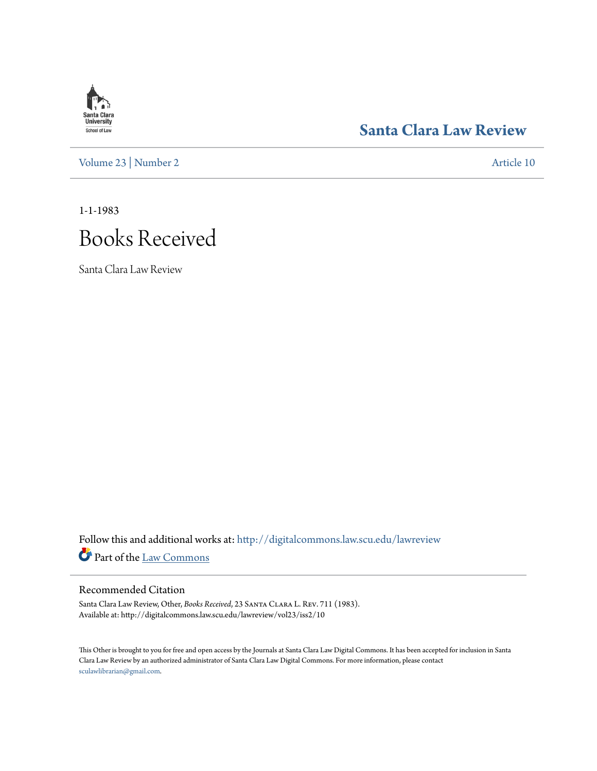# **Santa Clara**<br>**University** School of Law

## **[Santa Clara Law Review](http://digitalcommons.law.scu.edu/lawreview?utm_source=digitalcommons.law.scu.edu%2Flawreview%2Fvol23%2Fiss2%2F10&utm_medium=PDF&utm_campaign=PDFCoverPages)**

[Volume 23](http://digitalcommons.law.scu.edu/lawreview/vol23?utm_source=digitalcommons.law.scu.edu%2Flawreview%2Fvol23%2Fiss2%2F10&utm_medium=PDF&utm_campaign=PDFCoverPages) | [Number 2](http://digitalcommons.law.scu.edu/lawreview/vol23/iss2?utm_source=digitalcommons.law.scu.edu%2Flawreview%2Fvol23%2Fiss2%2F10&utm_medium=PDF&utm_campaign=PDFCoverPages) [Article 10](http://digitalcommons.law.scu.edu/lawreview/vol23/iss2/10?utm_source=digitalcommons.law.scu.edu%2Flawreview%2Fvol23%2Fiss2%2F10&utm_medium=PDF&utm_campaign=PDFCoverPages)

1-1-1983

# Books Received

Santa Clara Law Review

Follow this and additional works at: [http://digitalcommons.law.scu.edu/lawreview](http://digitalcommons.law.scu.edu/lawreview?utm_source=digitalcommons.law.scu.edu%2Flawreview%2Fvol23%2Fiss2%2F10&utm_medium=PDF&utm_campaign=PDFCoverPages) Part of the [Law Commons](http://network.bepress.com/hgg/discipline/578?utm_source=digitalcommons.law.scu.edu%2Flawreview%2Fvol23%2Fiss2%2F10&utm_medium=PDF&utm_campaign=PDFCoverPages)

#### Recommended Citation

Santa Clara Law Review, Other, *Books Received*, 23 Santa Clara L. Rev. 711 (1983). Available at: http://digitalcommons.law.scu.edu/lawreview/vol23/iss2/10

This Other is brought to you for free and open access by the Journals at Santa Clara Law Digital Commons. It has been accepted for inclusion in Santa Clara Law Review by an authorized administrator of Santa Clara Law Digital Commons. For more information, please contact [sculawlibrarian@gmail.com](mailto:sculawlibrarian@gmail.com).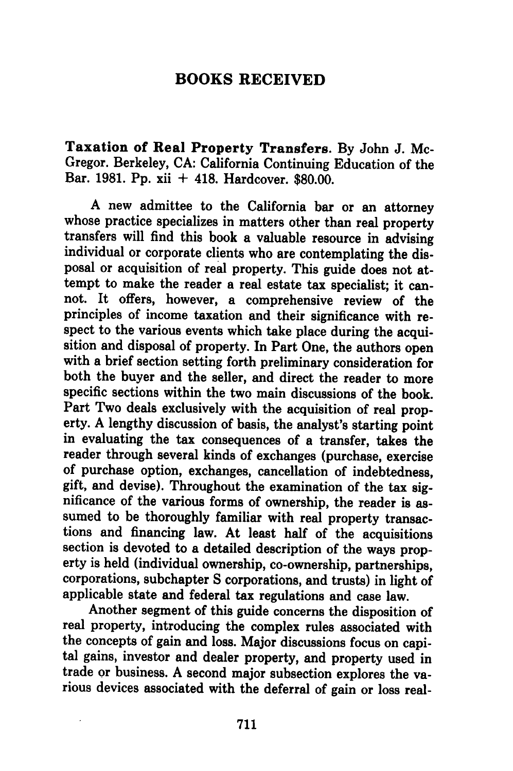### **BOOKS RECEIVED**

**Taxation of Real Property Transfers. By** John **J.** Mc-Gregor. Berkeley, **CA:** California Continuing Education of the Bar. **1981. Pp.** xii **+** 418. Hardcover. **\$80.00.**

A new admittee to the California bar or an attorney whose practice specializes in matters other than real property transfers will find this book a valuable resource in advising individual or corporate clients who are conte posal or acquisition of real property. This guide does not attempt to make the reader a real estate tax specialist; it cannot. It offers, however, a comprehensive review of the principles of income taxation and their significance with respect to the various events which take place during the acquisition and disposal of property. In Part One, the authors open with a brief section setting forth preliminary consideration for both the buyer and the seller, and direct the reader to more specific sections within the two main discussions of the book. Part Two deals exclusively with the acquisition of real property. **A** lengthy discussion of basis, the analyst's starting point in evaluating the tax consequences of a transfer, takes the reader through several kinds of exchanges (purchase, exercise of purchase option, exchanges, cancellation of indebtedness, gift, and devise). Throughout the examination of the tax sig- nificance of the various forms of ownership, the reader is assumed to be thoroughly familiar with real property transactions and financing law. At least half of the acquisitions section is devoted to a detailed description of the ways property is held (individual ownership, co-ownership, partnerships, corporations, subchapter **S** corporations, and trusts) in light of applicable state and federal tax regulations and case law.

Another segment of this guide concerns the disposition of real property, introducing the complex rules associated with the concepts of gain and loss. Major discussions focus on capi- tal gains, investor and dealer property, and property used in trade or business. **A** second major subsection explores the various devices associated with the deferral of gain or loss real-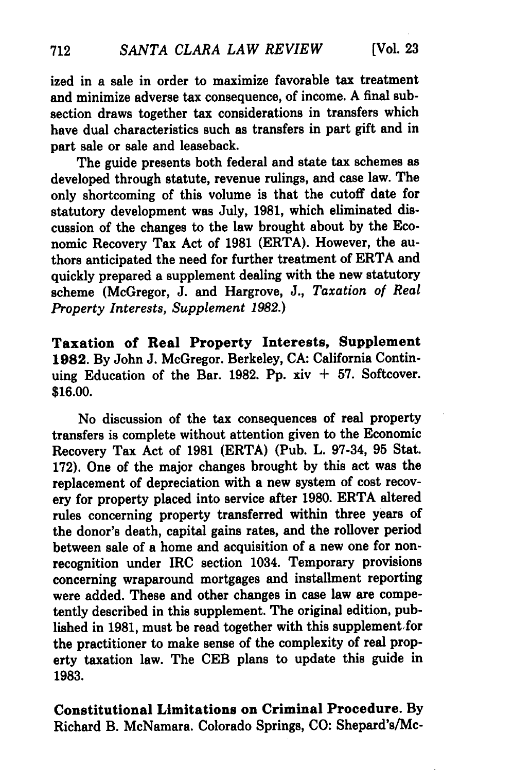ized in a sale in order to maximize favorable tax treatment and minimize adverse tax consequence, of income. A final subsection draws together tax considerations in transfers which have dual characteristics such as transfers in part gift and in part sale or sale and leaseback.

The guide presents both federal and state tax schemes as developed through statute, revenue rulings, and case law. The only shortcoming of this volume is that the cutoff date for statutory development was July, **1981,** which eliminated discussion of the changes to the law brought about **by** the Economic Recovery Tax Act of **1981** (ERTA). However, the authors anticipated the need for further treatment of ERTA and quickly prepared a supplement dealing with the new statutory scheme (McGregor, **J.** and Hargrove, **J.,** *Taxation of Real Property Interests, Supplement 1982.)*

Taxation of Real Property Interests, Supplement **1982. By** John **J.** McGregor. Berkeley, **CA:** California Continuing Education of the Bar. 1982. Pp.  $xiv + 57$ . Softcover. **\$16.00.**

No discussion of the tax consequences of real property transfers is complete without attention given to the Economic Recovery Tax Act of **1981** (ERTA) (Pub. L. **97-34, 95** Stat. **172).** One of the major changes brought **by** this act was the replacement of depreciation with a new system of cost recovery for property placed into service after **1980.** ERTA altered rules concerning property transferred within three years of the donor's death, capital gains rates, and the rollover period between sale of a home and acquisition of a new one for nonrecognition under IRC section 1034. Temporary provisions concerning wraparound mortgages and installment reporting were added. These and other changes in case law are competently described in this supplement. The original edition, published in 1981, must be read together with this supplement for the practitioner to make sense of the complexity of real property taxation law. The **CEB** plans to update this guide in **1983.**

Constitutional Limitations on Criminal Procedure. **By** Richard B. McNamara. Colorado Springs, **CO:** Shepard's/Mc-

712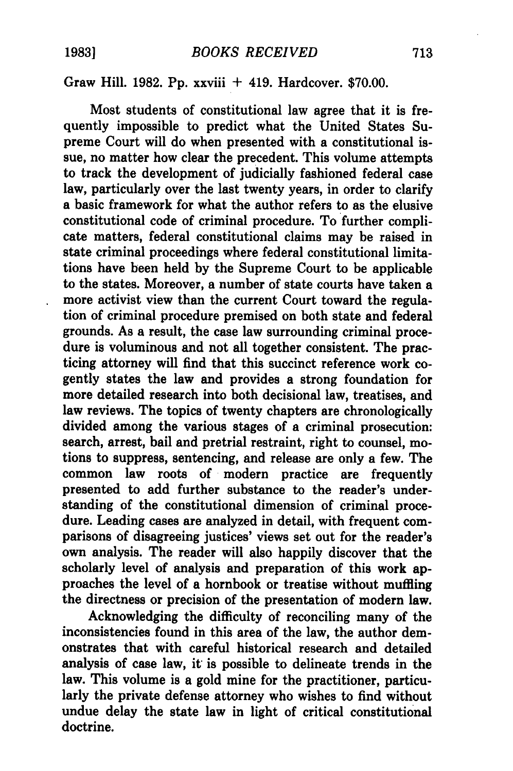### Graw Hill. **1982. Pp.** xxviii **+** 419. Hardcover. **\$70.00.**

Most students of constitutional law agree that it is frequently impossible to predict what the United States Supreme Court will do when presented with a constitutional issue, no matter how clear the precedent. This volume attempts to track the development of judicially fashioned federal case law, particularly over the last twenty years, in order to clarify a basic framework for what the author refers to as the elusive constitutional code of criminal procedure. To further complicate matters, federal constitutional claims may be raised in state criminal proceedings where federal constitutional limitations have been held **by** the Supreme Court to be applicable to the states. Moreover, a number of state courts have taken a more activist view than the current Court toward the regulation of criminal procedure premised on both state and federal grounds. **As** a result, the case law surrounding criminal procedure is voluminous and not all together consistent. The practicing attorney will find that this succinct reference work cogently states the law and provides a strong foundation for more detailed research into both decisional law, treatises, and law reviews. The topics of twenty chapters are chronologically divided among the various stages of a criminal prosecution: search, arrest, bail and pretrial restraint, right to counsel, motions to suppress, sentencing, and release are only a few. The common law roots of modern practice are frequently presented to add further substance to the reader's understanding of the constitutional dimension of criminal procedure. Leading cases are analyzed in detail, with frequent comparisons of disagreeing justices' views set out for the reader's own analysis. The reader will also happily discover that the scholarly level of analysis and preparation of this work approaches the level of a hornbook or treatise without muffling the directness or precision of the presentation of modern law.

Acknowledging the difficulty of reconciling many of the inconsistencies found in this area of the law, the author demonstrates that with careful historical research and detailed analysis of case law, it is possible to delineate trends in the law. This volume is a gold mine for the practitioner, particularly the private defense attorney who wishes to find without undue delay the state law in light of critical constitutional doctrine.